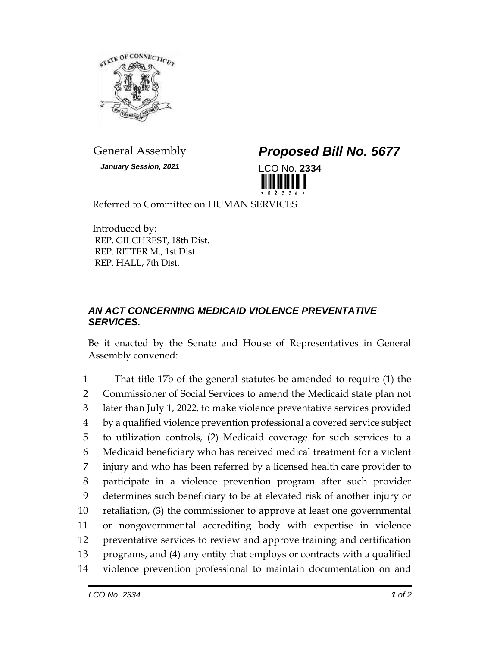

*January Session, 2021* LCO No. **2334**

General Assembly *Proposed Bill No. 5677*



Referred to Committee on HUMAN SERVICES

Introduced by: REP. GILCHREST, 18th Dist. REP. RITTER M., 1st Dist. REP. HALL, 7th Dist.

## *AN ACT CONCERNING MEDICAID VIOLENCE PREVENTATIVE SERVICES.*

Be it enacted by the Senate and House of Representatives in General Assembly convened:

 That title 17b of the general statutes be amended to require (1) the Commissioner of Social Services to amend the Medicaid state plan not later than July 1, 2022, to make violence preventative services provided by a qualified violence prevention professional a covered service subject to utilization controls, (2) Medicaid coverage for such services to a Medicaid beneficiary who has received medical treatment for a violent injury and who has been referred by a licensed health care provider to participate in a violence prevention program after such provider determines such beneficiary to be at elevated risk of another injury or retaliation, (3) the commissioner to approve at least one governmental or nongovernmental accrediting body with expertise in violence preventative services to review and approve training and certification programs, and (4) any entity that employs or contracts with a qualified violence prevention professional to maintain documentation on and